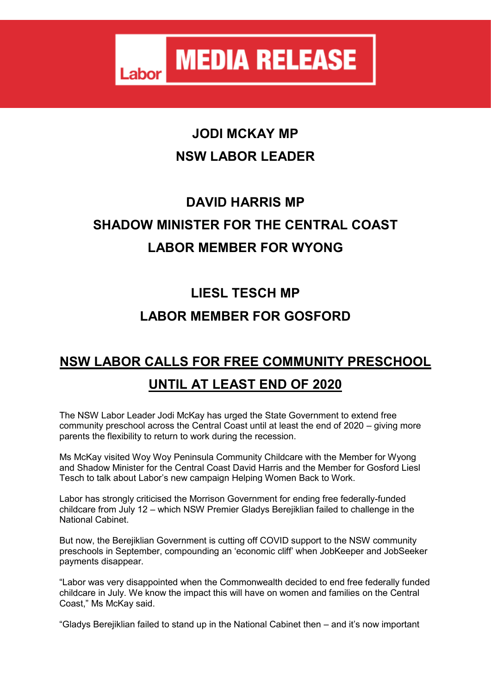#### **JODI MCKAY MP NSW LABOR LEADER**

# **DAVID HARRIS MP SHADOW MINISTER FOR THE CENTRAL COAST LABOR MEMBER FOR WYONG**

# **LIESL TESCH MP LABOR MEMBER FOR GOSFORD**

### **NSW LABOR CALLS FOR FREE COMMUNITY PRESCHOOL UNTIL AT LEAST END OF 2020**

The NSW Labor Leader Jodi McKay has urged the State Government to extend free community preschool across the Central Coast until at least the end of 2020 – giving more parents the flexibility to return to work during the recession.

Ms McKay visited Woy Woy Peninsula Community Childcare with the Member for Wyong and Shadow Minister for the Central Coast David Harris and the Member for Gosford Liesl Tesch to talk about Labor's new campaign Helping Women Back to Work.

Labor has strongly criticised the Morrison Government for ending free federally-funded childcare from July 12 – which NSW Premier Gladys Berejiklian failed to challenge in the National Cabinet.

But now, the Berejiklian Government is cutting off COVID support to the NSW community preschools in September, compounding an 'economic cliff' when JobKeeper and JobSeeker payments disappear.

"Labor was very disappointed when the Commonwealth decided to end free federally funded childcare in July. We know the impact this will have on women and families on the Central Coast," Ms McKay said.

"Gladys Berejiklian failed to stand up in the National Cabinet then – and it's now important